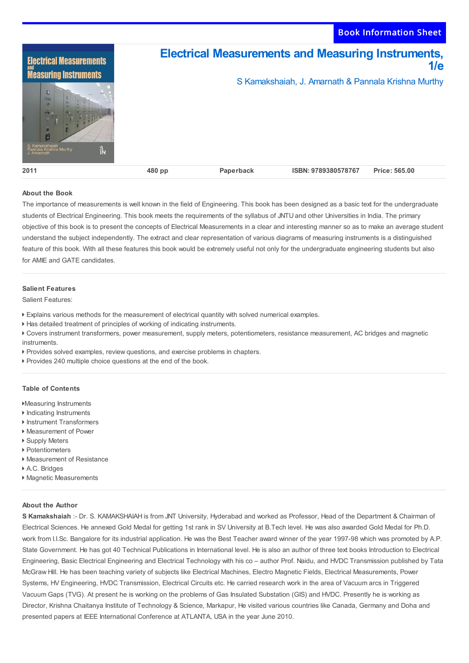

## **About the Book**

The importance of measurements is well known in the field of Engineering. This book has been designed as a basic text for the undergraduate students of Electrical Engineering. This book meets the requirements of the syllabus of JNTU and other Universities in India. The primary objective of this book is to present the concepts of Electrical Measurements in a clear and interesting manner so as to make an average student understand the subject independently. The extract and clear representation of various diagrams of measuring instruments is a distinguished feature of this book. With all these features this book would be extremely useful not only for the undergraduate engineering students but also for AMIE and GATE candidates.

## **Salient Features**

Salient Features:

- Explains various methods for the measurement of electrical quantity with solved numerical examples.
- Has detailed treatment of principles of working of indicating instruments.
- Covers instrument transformers, power measurement, supply meters, potentiometers, resistance measurement, AC bridges and magnetic instruments.
- Provides solved examples, review questions, and exercise problems in chapters.
- Provides 240 multiple choice questions at the end of the book.

## **Table of Contents**

- Measuring Instruments
- Indicating Instruments
- ▶ Instrument Transformers
- Measurement of Power
- ▶ Supply Meters
- Potentiometers Measurement of Resistance
- A.C. Bridges
- 
- Magnetic Measurements

## **About the Author**

**S Kamakshaiah** :- Dr. S. KAMAKSHAIAH is from JNT University, Hyderabad and worked as Professor, Head of the Department & Chairman of Electrical Sciences. He annexed Gold Medal for getting 1st rank in SV University at B.Tech level. He was also awarded Gold Medal for Ph.D. work from I.I.Sc. Bangalore for its industrial application. He was the Best Teacher award winner of the year 1997-98 which was promoted by A.P. State Government. He has got 40 Technical Publications in International level. He is also an author of three text books Introduction to Electrical Engineering, Basic Electrical Engineering and Electrical Technology with his co – author Prof. Naidu, and HVDC Transmission published by Tata McGraw Hill. He has been teaching variety of subjects like Electrical Machines, Electro Magnetic Fields, Electrical Measurements, Power Systems, HV Engineering, HVDC Transmission, Electrical Circuits etc. He carried research work in the area of Vacuum arcs in Triggered Vacuum Gaps (TVG). At present he is working on the problems of Gas Insulated Substation (GIS) and HVDC. Presently he is working as Director, Krishna Chaitanya Institute of Technology & Science, Markapur, He visited various countries like Canada, Germany and Doha and presented papers at IEEE International Conference at ATLANTA, USA in the year June 2010.